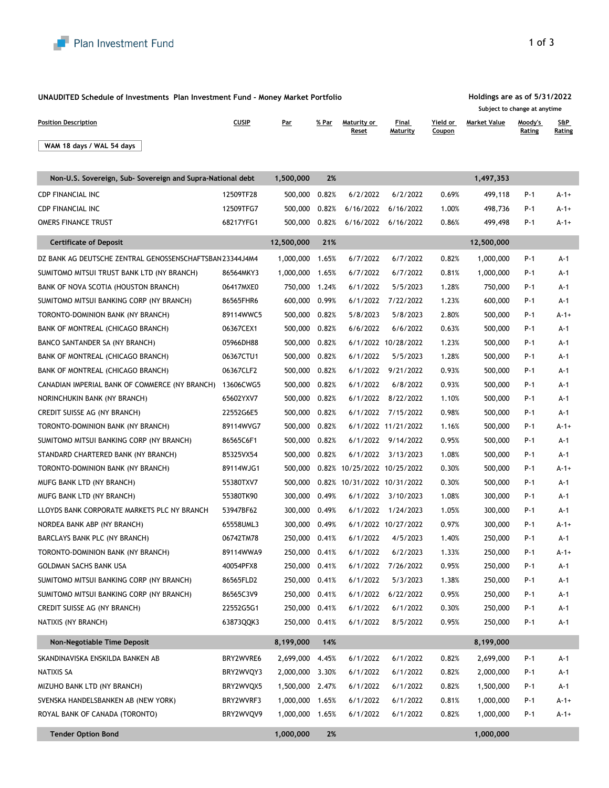

| UNAUDITED Schedule of Investments Plan Investment Fund - Money Market Portfolio |              |               |       |                             |                     |                    |                     | Holdings are as of 5/31/2022<br>Subject to change at anytime |               |  |  |
|---------------------------------------------------------------------------------|--------------|---------------|-------|-----------------------------|---------------------|--------------------|---------------------|--------------------------------------------------------------|---------------|--|--|
| <b>Position Description</b>                                                     | <b>CUSIP</b> | <b>Par</b>    | % Par | Maturity or<br><b>Reset</b> | Final<br>Maturity   | Yield or<br>Coupon | <b>Market Value</b> | Moody's<br><b>Rating</b>                                     | S&P<br>Rating |  |  |
| WAM 18 days / WAL 54 days                                                       |              |               |       |                             |                     |                    |                     |                                                              |               |  |  |
| Non-U.S. Sovereign, Sub- Sovereign and Supra-National debt                      |              | 1,500,000     | 2%    |                             |                     |                    | 1,497,353           |                                                              |               |  |  |
| <b>CDP FINANCIAL INC</b>                                                        | 12509TF28    | 500,000       | 0.82% | 6/2/2022                    | 6/2/2022            | 0.69%              | 499,118             | $P-1$                                                        | $A-1+$        |  |  |
| <b>CDP FINANCIAL INC</b>                                                        | 12509TFG7    | 500,000       | 0.82% | 6/16/2022                   | 6/16/2022           | 1.00%              | 498,736             | $P-1$                                                        | $A-1+$        |  |  |
| <b>OMERS FINANCE TRUST</b>                                                      | 68217YFG1    | 500,000       | 0.82% | 6/16/2022                   | 6/16/2022           | 0.86%              | 499,498             | $P-1$                                                        | $A-1+$        |  |  |
| <b>Certificate of Deposit</b>                                                   |              | 12,500,000    | 21%   |                             |                     |                    | 12,500,000          |                                                              |               |  |  |
| DZ BANK AG DEUTSCHE ZENTRAL GENOSSENSCHAFTSBAN 23344J4M4                        |              | 1,000,000     | 1.65% | 6/7/2022                    | 6/7/2022            | 0.82%              | 1,000,000           | $P-1$                                                        | $A-1$         |  |  |
| SUMITOMO MITSUI TRUST BANK LTD (NY BRANCH)                                      | 86564MKY3    | 1,000,000     | 1.65% | 6/7/2022                    | 6/7/2022            | 0.81%              | 1,000,000           | $P-1$                                                        | $A-1$         |  |  |
| BANK OF NOVA SCOTIA (HOUSTON BRANCH)                                            | 06417MXE0    | 750,000       | 1.24% | 6/1/2022                    | 5/5/2023            | 1.28%              | 750,000             | $P-1$                                                        | $A-1$         |  |  |
| SUMITOMO MITSUI BANKING CORP (NY BRANCH)                                        | 86565FHR6    | 600,000       | 0.99% | 6/1/2022                    | 7/22/2022           | 1.23%              | 600,000             | $P-1$                                                        | $A-1$         |  |  |
| TORONTO-DOMINION BANK (NY BRANCH)                                               | 89114WWC5    | 500,000       | 0.82% | 5/8/2023                    | 5/8/2023            | 2.80%              | 500,000             | $P-1$                                                        | $A-1+$        |  |  |
| BANK OF MONTREAL (CHICAGO BRANCH)                                               | 06367CEX1    | 500,000       | 0.82% | 6/6/2022                    | 6/6/2022            | 0.63%              | 500,000             | $P-1$                                                        | $A-1$         |  |  |
| <b>BANCO SANTANDER SA (NY BRANCH)</b>                                           | 05966DH88    | 500,000       | 0.82% | 6/1/2022                    | 10/28/2022          | 1.23%              | 500,000             | $P-1$                                                        | $A-1$         |  |  |
| BANK OF MONTREAL (CHICAGO BRANCH)                                               | 06367CTU1    | 500,000       | 0.82% | 6/1/2022                    | 5/5/2023            | 1.28%              | 500,000             | $P-1$                                                        | $A-1$         |  |  |
| BANK OF MONTREAL (CHICAGO BRANCH)                                               | 06367CLF2    | 500,000       | 0.82% | 6/1/2022                    | 9/21/2022           | 0.93%              | 500,000             | $P-1$                                                        | A-1           |  |  |
| CANADIAN IMPERIAL BANK OF COMMERCE (NY BRANCH)                                  | 13606CWG5    | 500,000       | 0.82% | 6/1/2022                    | 6/8/2022            | 0.93%              | 500,000             | $P-1$                                                        | $A-1$         |  |  |
| NORINCHUKIN BANK (NY BRANCH)                                                    | 65602YXV7    | 500,000       | 0.82% | 6/1/2022                    | 8/22/2022           | 1.10%              | 500,000             | $P-1$                                                        | $A-1$         |  |  |
| CREDIT SUISSE AG (NY BRANCH)                                                    | 22552G6E5    | 500,000       | 0.82% | 6/1/2022                    | 7/15/2022           | 0.98%              | 500,000             | $P-1$                                                        | $A-1$         |  |  |
| TORONTO-DOMINION BANK (NY BRANCH)                                               | 89114WVG7    | 500,000       | 0.82% |                             | 6/1/2022 11/21/2022 | 1.16%              | 500,000             | $P-1$                                                        | $A - 1 +$     |  |  |
| SUMITOMO MITSUI BANKING CORP (NY BRANCH)                                        | 86565C6F1    | 500,000       | 0.82% | 6/1/2022                    | 9/14/2022           | 0.95%              | 500,000             | $P-1$                                                        | $A-1$         |  |  |
| STANDARD CHARTERED BANK (NY BRANCH)                                             | 85325VX54    | 500,000       | 0.82% | 6/1/2022                    | 3/13/2023           | 1.08%              | 500,000             | $P-1$                                                        | $A-1$         |  |  |
| TORONTO-DOMINION BANK (NY BRANCH)                                               | 89114WJG1    | 500,000       | 0.82% | 10/25/2022 10/25/2022       |                     | 0.30%              | 500,000             | $P-1$                                                        | $A - 1 +$     |  |  |
| MUFG BANK LTD (NY BRANCH)                                                       | 55380TXV7    | 500,000       | 0.82% | 10/31/2022 10/31/2022       |                     | 0.30%              | 500,000             | $P-1$                                                        | $A-1$         |  |  |
| MUFG BANK LTD (NY BRANCH)                                                       | 55380TK90    | 300,000       | 0.49% | 6/1/2022                    | 3/10/2023           | 1.08%              | 300,000             | $P-1$                                                        | $A-1$         |  |  |
| LLOYDS BANK CORPORATE MARKETS PLC NY BRANCH                                     | 53947BF62    | 300,000       | 0.49% | 6/1/2022                    | 1/24/2023           | 1.05%              | 300,000             | $P-1$                                                        | $A-1$         |  |  |
| NORDEA BANK ABP (NY BRANCH)                                                     | 65558UML3    | 300,000       | 0.49% |                             | 6/1/2022 10/27/2022 | 0.97%              | 300,000             | $P-1$                                                        | $A - 1 +$     |  |  |
| BARCLAYS BANK PLC (NY BRANCH)                                                   | 06742TM78    | 250,000       | 0.41% | 6/1/2022                    | 4/5/2023            | 1.40%              | 250,000             | $P-1$                                                        | $A-1$         |  |  |
| TORONTO-DOMINION BANK (NY BRANCH)                                               | 89114WWA9    | 250,000       | 0.41% | 6/1/2022                    | 6/2/2023            | 1.33%              | 250,000             | $P-1$                                                        | $A - 1 +$     |  |  |
| <b>GOLDMAN SACHS BANK USA</b>                                                   | 40054PFX8    | 250,000       | 0.41% | 6/1/2022                    | 7/26/2022           | 0.95%              | 250,000             | $P-1$                                                        | $A-1$         |  |  |
| SUMITOMO MITSUI BANKING CORP (NY BRANCH)                                        | 86565FLD2    | 250,000       | 0.41% | 6/1/2022                    | 5/3/2023            | 1.38%              | 250,000             | $P-1$                                                        | $A-1$         |  |  |
| SUMITOMO MITSUI BANKING CORP (NY BRANCH)                                        | 86565C3V9    | 250,000       | 0.41% | 6/1/2022                    | 6/22/2022           | 0.95%              | 250,000             | $P-1$                                                        | $A-1$         |  |  |
| CREDIT SUISSE AG (NY BRANCH)                                                    | 22552G5G1    | 250,000       | 0.41% | 6/1/2022                    | 6/1/2022            | 0.30%              | 250,000             | $P-1$                                                        | $A-1$         |  |  |
| NATIXIS (NY BRANCH)                                                             | 63873QQK3    | 250,000 0.41% |       | 6/1/2022                    | 8/5/2022            | 0.95%              | 250,000             | $P-1$                                                        | $A-1$         |  |  |

| Non-Negotiable Time Deposit         |           | 8,199,000 | 14%   |          |          |       | 8,199,000 |       |        |
|-------------------------------------|-----------|-----------|-------|----------|----------|-------|-----------|-------|--------|
| SKANDINAVISKA ENSKILDA BANKEN AB    | BRY2WVRE6 | 2,699,000 | 4.45% | 6/1/2022 | 6/1/2022 | 0.82% | 2,699,000 | $P-1$ | $A-1$  |
| NATIXIS SA                          | BRY2WVQY3 | 2,000,000 | 3.30% | 6/1/2022 | 6/1/2022 | 0.82% | 2,000,000 | $P-1$ | $A-1$  |
| MIZUHO BANK LTD (NY BRANCH)         | BRY2WVQX5 | ,500,000  | 2.47% | 6/1/2022 | 6/1/2022 | 0.82% | 1,500,000 | $P-1$ | $A-1$  |
| SVENSKA HANDELSBANKEN AB (NEW YORK) | BRY2WVRF3 | 1,000,000 | 1.65% | 6/1/2022 | 6/1/2022 | 0.81% | 1,000,000 | $P-1$ | $A-1+$ |
| ROYAL BANK OF CANADA (TORONTO)      | BRY2WVQV9 | 1,000,000 | 1.65% | 6/1/2022 | 6/1/2022 | 0.82% | 1,000,000 | $P-1$ | $A-1+$ |
| <b>Tender Option Bond</b>           |           | 1,000,000 | 2%    |          |          |       | 1,000,000 |       |        |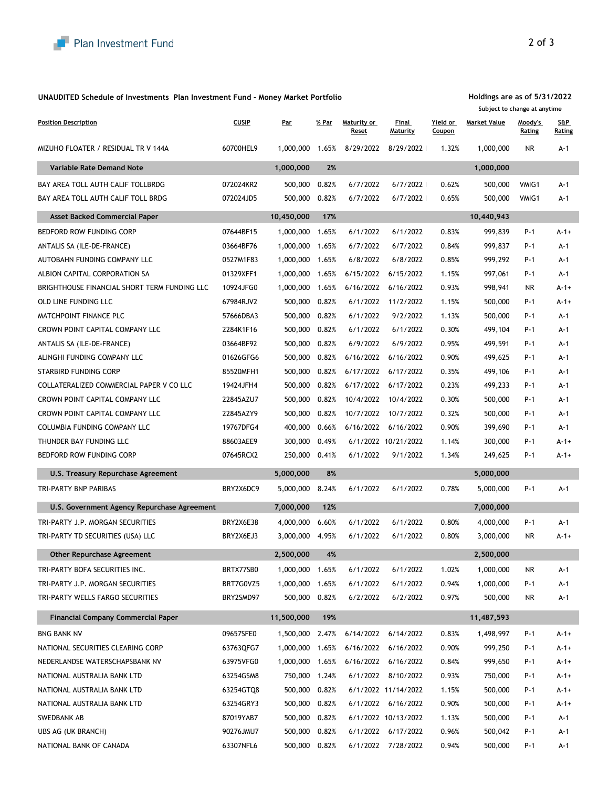## **UNAUDITED Schedule of Investments Plan Investment Fund - Money Market Portfolio**

## **Holdings are as of 5/31/2022**

|                                              |              |            |       |                             |                          |                    | Subject to change at anytime |                          |                         |
|----------------------------------------------|--------------|------------|-------|-----------------------------|--------------------------|--------------------|------------------------------|--------------------------|-------------------------|
| <b>Position Description</b>                  | <b>CUSIP</b> | <u>Par</u> | % Par | Maturity or<br><b>Reset</b> | Final<br><b>Maturity</b> | Yield or<br>Coupon | <b>Market Value</b>          | Moody's<br><b>Rating</b> | $S\&P$<br><b>Rating</b> |
| MIZUHO FLOATER / RESIDUAL TR V 144A          | 60700HEL9    | 1,000,000  | 1.65% | 8/29/2022                   | 8/29/2022                | 1.32%              | 1,000,000                    | <b>NR</b>                | $A-1$                   |
| <b>Variable Rate Demand Note</b>             |              |            | 2%    |                             |                          |                    | 1,000,000                    |                          |                         |
| BAY AREA TOLL AUTH CALIF TOLLBRDG            | 072024KR2    | 500,000    | 0.82% | 6/7/2022                    | 6/7/2022                 | 0.62%              | 500,000                      | VMIG1                    | $A-1$                   |
| BAY AREA TOLL AUTH CALIF TOLL BRDG           | 072024JD5    | 500,000    | 0.82% | 6/7/2022                    | 6/7/2022                 | 0.65%              | 500,000                      | VMIG1                    | $A-1$                   |
| <b>Asset Backed Commercial Paper</b>         |              | 10,450,000 | 17%   |                             |                          |                    | 10,440,943                   |                          |                         |
| <b>BEDFORD ROW FUNDING CORP</b>              | 07644BF15    | 1,000,000  | 1.65% | 6/1/2022                    | 6/1/2022                 | 0.83%              | 999,839                      | $P-1$                    | $A - 1 +$               |
| ANTALIS SA (ILE-DE-FRANCE)                   | 03664BF76    | 1,000,000  | 1.65% | 6/7/2022                    | 6/7/2022                 | 0.84%              | 999,837                      | $P-1$                    | $A-1$                   |
| AUTOBAHN FUNDING COMPANY LLC                 | 0527M1F83    | 1,000,000  | 1.65% | 6/8/2022                    | 6/8/2022                 | 0.85%              | 999,292                      | $P-1$                    | $A-1$                   |
| ALBION CAPITAL CORPORATION SA                | 01329XFF1    | 1,000,000  | 1.65% | 6/15/2022                   | 6/15/2022                | 1.15%              | 997,061                      | $P-1$                    | $A-1$                   |
| BRIGHTHOUSE FINANCIAL SHORT TERM FUNDING LLC | 10924JFG0    | 1,000,000  | 1.65% | 6/16/2022                   | 6/16/2022                | 0.93%              | 998,941                      | <b>NR</b>                | $A - 1 +$               |
| OLD LINE FUNDING LLC                         | 67984RJV2    | 500,000    | 0.82% | 6/1/2022                    | 11/2/2022                | 1.15%              | 500,000                      | $P-1$                    | $A - 1 +$               |
| MATCHPOINT FINANCE PLC                       | 57666DBA3    | 500,000    | 0.82% | 6/1/2022                    | 9/2/2022                 | 1.13%              | 500,000                      | $P-1$                    | $A-1$                   |
| CROWN POINT CAPITAL COMPANY LLC              | 2284K1F16    | 500,000    | 0.82% | 6/1/2022                    | 6/1/2022                 | 0.30%              | 499,104                      | $P-1$                    | $A-1$                   |
| ANTALIS SA (ILE-DE-FRANCE)                   | 03664BF92    | 500,000    | 0.82% | 6/9/2022                    | 6/9/2022                 | 0.95%              | 499,591                      | $P-1$                    | $A-1$                   |
| ALINGHI FUNDING COMPANY LLC                  | 01626GFG6    | 500,000    | 0.82% | 6/16/2022                   | 6/16/2022                | 0.90%              | 499,625                      | $P-1$                    | $A-1$                   |
| <b>STARBIRD FUNDING CORP</b>                 | 85520MFH1    | 500,000    | 0.82% | 6/17/2022                   | 6/17/2022                | 0.35%              | 499,106                      | $P-1$                    | $A-1$                   |
| COLLATERALIZED COMMERCIAL PAPER V CO LLC     | 19424JFH4    | 500,000    | 0.82% | 6/17/2022                   | 6/17/2022                | 0.23%              | 499,233                      | $P-1$                    | $A-1$                   |
| CROWN POINT CAPITAL COMPANY LLC              | 22845AZU7    | 500,000    | 0.82% | 10/4/2022                   | 10/4/2022                | 0.30%              | 500,000                      | $P-1$                    | $A-1$                   |
| CROWN POINT CAPITAL COMPANY LLC              | 22845AZY9    | 500,000    | 0.82% | 10/7/2022                   | 10/7/2022                | 0.32%              | 500,000                      | $P-1$                    | $A-1$                   |
| <b>COLUMBIA FUNDING COMPANY LLC</b>          | 19767DFG4    | 400,000    | 0.66% | 6/16/2022                   | 6/16/2022                | 0.90%              | 399,690                      | $P-1$                    | $A-1$                   |
| THUNDER BAY FUNDING LLC                      | 88603AEE9    | 300,000    | 0.49% |                             | 6/1/2022 10/21/2022      | 1.14%              | 300,000                      | $P-1$                    | $A-1+$                  |
| <b>BEDFORD ROW FUNDING CORP</b>              | 07645RCX2    | 250,000    | 0.41% | 6/1/2022                    | 9/1/2022                 | 1.34%              | 249,625                      | $P-1$                    | $A-1+$                  |
| <b>U.S. Treasury Repurchase Agreement</b>    |              | 5,000,000  | 8%    |                             |                          |                    | 5,000,000                    |                          |                         |
| TRI-PARTY BNP PARIBAS                        | BRY2X6DC9    | 5,000,000  | 8.24% | 6/1/2022                    | 6/1/2022                 | 0.78%              | 5,000,000                    | $P-1$                    | $A-1$                   |
| U.S. Government Agency Repurchase Agreement  |              | 7,000,000  | 12%   |                             |                          |                    | 7,000,000                    |                          |                         |
| TRI-PARTY J.P. MORGAN SECURITIES             | BRY2X6E38    | 4,000,000  | 6.60% | 6/1/2022                    | 6/1/2022                 | 0.80%              | 4,000,000                    | $P-1$                    | $A-1$                   |
| TRI-PARTY TD SECURITIES (USA) LLC            | BRY2X6EJ3    | 3,000,000  | 4.95% | 6/1/2022                    | 6/1/2022                 | 0.80%              | 3,000,000                    | <b>NR</b>                | $A - 1 +$               |
| <b>Other Repurchase Agreement</b>            |              | 2,500,000  | 4%    |                             |                          |                    | 2,500,000                    |                          |                         |
| TRI-PARTY BOFA SECURITIES INC.               | BRTX77SB0    | 1,000,000  | 1.65% | 6/1/2022                    | 6/1/2022                 | 1.02%              | 1,000,000                    | <b>NR</b>                | $A-1$                   |
| TRI-PARTY J.P. MORGAN SECURITIES             | BRT7G0VZ5    | 1,000,000  | 1.65% | 6/1/2022                    | 6/1/2022                 | 0.94%              | 1,000,000                    | $P-1$                    | $A-1$                   |
| TRI-PARTY WELLS FARGO SECURITIES             | BRY2SMD97    | 500,000    | 0.82% | 6/2/2022                    | 6/2/2022                 | 0.97%              | 500,000                      | <b>NR</b>                | $A-1$                   |
| <b>Financial Company Commercial Paper</b>    |              | 11,500,000 | 19%   |                             |                          |                    | 11,487,593                   |                          |                         |

| <b>BNG BANK NV</b>                | 09657SFE0 | 1,500,000 | 2.47% | 6/14/2022 | 6/14/2022           | 0.83% | 1,498,997 | $P-1$ | $A-1+$    |
|-----------------------------------|-----------|-----------|-------|-----------|---------------------|-------|-----------|-------|-----------|
| NATIONAL SECURITIES CLEARING CORP | 63763QFG7 | 1,000,000 | .65%  | 6/16/2022 | 6/16/2022           | 0.90% | 999,250   | $P-1$ | $A-1+$    |
| NEDERLANDSE WATERSCHAPSBANK NV    | 63975VFG0 | 1,000,000 | .65%  | 6/16/2022 | 6/16/2022           | 0.84% | 999,650   | $P-1$ | $A - 1 +$ |
| NATIONAL AUSTRALIA BANK LTD       | 63254GSM8 | 750,000   | 1.24% | 6/1/2022  | 8/10/2022           | 0.93% | 750,000   | $P-1$ | $A-1+$    |
| NATIONAL AUSTRALIA BANK LTD       | 63254GTQ8 | 500,000   | 0.82% |           | 6/1/2022 11/14/2022 | 1.15% | 500,000   | $P-1$ | $A - 1 +$ |
| NATIONAL AUSTRALIA BANK LTD       | 63254GRY3 | 500.000   | 0.82% | 6/1/2022  | 6/16/2022           | 0.90% | 500,000   | $P-1$ | $A - 1 +$ |
| SWEDBANK AB                       | 87019YAB7 | 500,000   | 0.82% | 6/1/2022  | 10/13/2022          | 1.13% | 500,000   | $P-1$ | $A-1$     |
| UBS AG (UK BRANCH)                | 90276JMU7 | 500,000   | 0.82% | 6/1/2022  | 6/17/2022           | 0.96% | 500,042   | $P-1$ | $A-1$     |
| NATIONAL BANK OF CANADA           | 63307NFL6 | 500,000   | 0.82% | 6/1/2022  | 7/28/2022           | 0.94% | 500,000   | $P-1$ | $A-1$     |